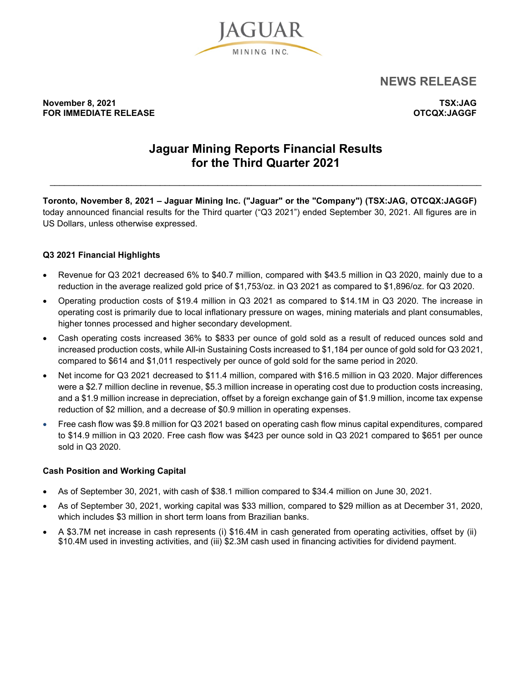

**NEWS RELEASE**

**November 8, 2021 TSX:JAG FOR IMMEDIATE RELEASE** 

# **Jaguar Mining Reports Financial Results for the Third Quarter 2021**

\_\_\_\_\_\_\_\_\_\_\_\_\_\_\_\_\_\_\_\_\_\_\_\_\_\_\_\_\_\_\_\_\_\_\_\_\_\_\_\_\_\_\_\_\_\_\_\_\_\_\_\_\_\_\_\_\_\_\_\_\_\_\_\_\_\_\_\_\_\_\_\_\_\_\_\_\_\_\_\_\_\_\_\_\_\_\_\_\_\_

**Toronto, November 8, 2021 – Jaguar Mining Inc. ("Jaguar" or the "Company") (TSX:JAG, OTCQX:JAGGF)**  today announced financial results for the Third quarter ("Q3 2021") ended September 30, 2021. All figures are in US Dollars, unless otherwise expressed.

## **Q3 2021 Financial Highlights**

- Revenue for Q3 2021 decreased 6% to \$40.7 million, compared with \$43.5 million in Q3 2020, mainly due to a reduction in the average realized gold price of \$1,753/oz. in Q3 2021 as compared to \$1,896/oz. for Q3 2020.
- Operating production costs of \$19.4 million in Q3 2021 as compared to \$14.1M in Q3 2020. The increase in operating cost is primarily due to local inflationary pressure on wages, mining materials and plant consumables, higher tonnes processed and higher secondary development.
- Cash operating costs increased 36% to \$833 per ounce of gold sold as a result of reduced ounces sold and increased production costs, while All-in Sustaining Costs increased to \$1,184 per ounce of gold sold for Q3 2021, compared to \$614 and \$1,011 respectively per ounce of gold sold for the same period in 2020.
- Net income for Q3 2021 decreased to \$11.4 million, compared with \$16.5 million in Q3 2020. Major differences were a \$2.7 million decline in revenue, \$5.3 million increase in operating cost due to production costs increasing, and a \$1.9 million increase in depreciation, offset by a foreign exchange gain of \$1.9 million, income tax expense reduction of \$2 million, and a decrease of \$0.9 million in operating expenses.
- Free cash flow was \$9.8 million for Q3 2021 based on operating cash flow minus capital expenditures, compared to \$14.9 million in Q3 2020. Free cash flow was \$423 per ounce sold in Q3 2021 compared to \$651 per ounce sold in Q3 2020.

## **Cash Position and Working Capital**

- As of September 30, 2021, with cash of \$38.1 million compared to \$34.4 million on June 30, 2021.
- As of September 30, 2021, working capital was \$33 million, compared to \$29 million as at December 31, 2020, which includes \$3 million in short term loans from Brazilian banks.
- A \$3.7M net increase in cash represents (i) \$16.4M in cash generated from operating activities, offset by (ii) \$10.4M used in investing activities, and (iii) \$2.3M cash used in financing activities for dividend payment.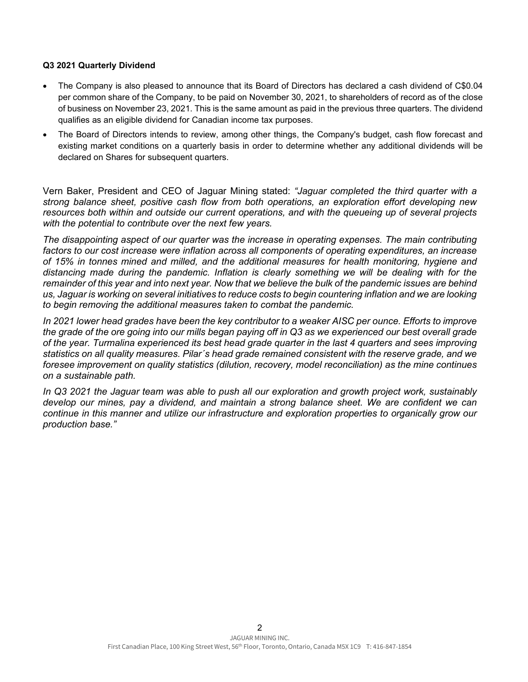### **Q3 2021 Quarterly Dividend**

- The Company is also pleased to announce that its Board of Directors has declared a cash dividend of C\$0.04 per common share of the Company, to be paid on November 30, 2021, to shareholders of record as of the close of business on November 23, 2021. This is the same amount as paid in the previous three quarters. The dividend qualifies as an eligible dividend for Canadian income tax purposes.
- The Board of Directors intends to review, among other things, the Company's budget, cash flow forecast and existing market conditions on a quarterly basis in order to determine whether any additional dividends will be declared on Shares for subsequent quarters.

Vern Baker, President and CEO of Jaguar Mining stated: *"Jaguar completed the third quarter with a strong balance sheet, positive cash flow from both operations, an exploration effort developing new resources both within and outside our current operations, and with the queueing up of several projects with the potential to contribute over the next few years.*

*The disappointing aspect of our quarter was the increase in operating expenses. The main contributing factors to our cost increase were inflation across all components of operating expenditures, an increase of 15% in tonnes mined and milled, and the additional measures for health monitoring, hygiene and distancing made during the pandemic. Inflation is clearly something we will be dealing with for the* remainder of this year and into next year. Now that we believe the bulk of the pandemic issues are behind us, Jaguar is working on several initiatives to reduce costs to begin countering inflation and we are looking *to begin removing the additional measures taken to combat the pandemic.*

In 2021 lower head grades have been the key contributor to a weaker AISC per ounce. Efforts to improve the grade of the ore going into our mills began paying off in Q3 as we experienced our best overall grade of the year. Turmalina experienced its best head grade quarter in the last 4 quarters and sees improving *statistics on all quality measures. Pilar´s head grade remained consistent with the reserve grade, and we foresee improvement on quality statistics (dilution, recovery, model reconciliation) as the mine continues on a sustainable path.* 

In Q3 2021 the Jaguar team was able to push all our exploration and growth project work, sustainably *develop our mines, pay a dividend, and maintain a strong balance sheet. We are confident we can continue in this manner and utilize our infrastructure and exploration properties to organically grow our production base."*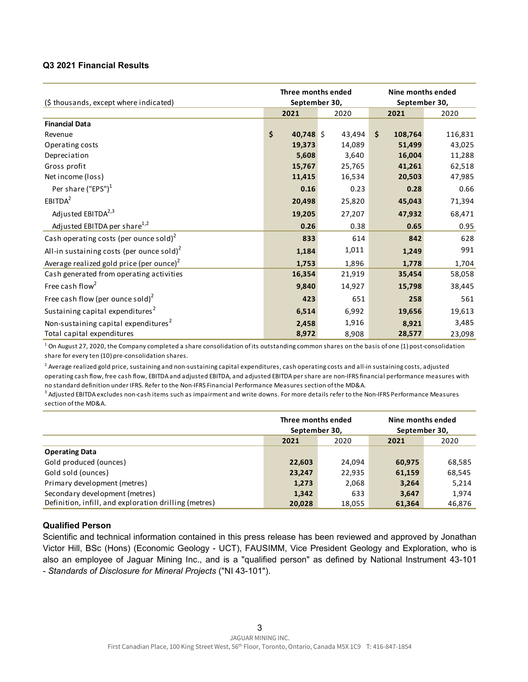#### **Q3 2021 Financial Results**

| (\$ thousands, except where indicated)                | Three months ended<br>September 30, |        | Nine months ended<br>September 30, |         |
|-------------------------------------------------------|-------------------------------------|--------|------------------------------------|---------|
|                                                       | 2021                                | 2020   | 2021                               | 2020    |
| <b>Financial Data</b>                                 |                                     |        |                                    |         |
| Revenue                                               | \$<br>$40,748$ \$                   | 43,494 | $\dot{\mathsf{s}}$<br>108,764      | 116,831 |
| Operating costs                                       | 19,373                              | 14,089 | 51,499                             | 43,025  |
| Depreciation                                          | 5,608                               | 3,640  | 16,004                             | 11,288  |
| Gross profit                                          | 15,767                              | 25,765 | 41,261                             | 62,518  |
| Net income (loss)                                     | 11,415                              | 16,534 | 20,503                             | 47,985  |
| Per share ("EPS") <sup>1</sup>                        | 0.16                                | 0.23   | 0.28                               | 0.66    |
| EBITDA <sup>2</sup>                                   | 20,498                              | 25,820 | 45,043                             | 71,394  |
| Adjusted EBITDA <sup>2,3</sup>                        | 19,205                              | 27,207 | 47,932                             | 68,471  |
| Adjusted EBITDA per share <sup>1,2</sup>              | 0.26                                | 0.38   | 0.65                               | 0.95    |
| Cash operating costs (per ounce sold) <sup>2</sup>    | 833                                 | 614    | 842                                | 628     |
| All-in sustaining costs (per ounce sold) <sup>2</sup> | 1,184                               | 1,011  | 1,249                              | 991     |
| Average realized gold price (per ounce) <sup>2</sup>  | 1,753                               | 1,896  | 1,778                              | 1,704   |
| Cash generated from operating activities              | 16,354                              | 21,919 | 35,454                             | 58,058  |
| Free cash flow <sup>2</sup>                           | 9,840                               | 14,927 | 15,798                             | 38,445  |
| Free cash flow (per ounce sold) <sup>2</sup>          | 423                                 | 651    | 258                                | 561     |
| Sustaining capital expenditures <sup>2</sup>          | 6,514                               | 6,992  | 19,656                             | 19,613  |
| Non-sustaining capital expenditures <sup>2</sup>      | 2,458                               | 1,916  | 8,921                              | 3,485   |
| Total capital expenditures                            | 8,972                               | 8,908  | 28,577                             | 23,098  |

 $^{\rm 1}$  On August 27, 2020, the Company completed a share consolidation of its outstanding common shares on the basis of one (1) post-consolidation share for every ten (10) pre-consolidation shares.

 $^2$  Average realized gold price, sustaining and non-sustaining capital expenditures, cash operating costs and all-in sustaining costs, adjusted operating cash flow, free cash flow, EBITDA and adjusted EBITDA, and adjusted EBITDA per share are non-IFRS financial performance measures with no standard definition under IFRS. Refer to the Non-IFRS Financial Performance Measures section of the MD&A.

 $^3$  Adjusted EBITDA excludes non-cash items such as impairment and write downs. For more details refer to the Non-IFRS Performance Measures section of the MD&A.

|                                                       | Three months ended<br>September 30, |        | Nine months ended<br>September 30, |        |
|-------------------------------------------------------|-------------------------------------|--------|------------------------------------|--------|
|                                                       | 2021                                | 2020   | 2021                               | 2020   |
| <b>Operating Data</b>                                 |                                     |        |                                    |        |
| Gold produced (ounces)                                | 22,603                              | 24.094 | 60,975                             | 68,585 |
| Gold sold (ounces)                                    | 23,247                              | 22,935 | 61,159                             | 68,545 |
| Primary development (metres)                          | 1,273                               | 2,068  | 3,264                              | 5,214  |
| Secondary development (metres)                        | 1,342                               | 633    | 3,647                              | 1,974  |
| Definition, infill, and exploration drilling (metres) | 20,028                              | 18,055 | 61,364                             | 46,876 |

#### **Qualified Person**

Scientific and technical information contained in this press release has been reviewed and approved by Jonathan Victor Hill, BSc (Hons) (Economic Geology - UCT), FAUSIMM, Vice President Geology and Exploration, who is also an employee of Jaguar Mining Inc., and is a "qualified person" as defined by National Instrument 43-101 - *Standards of Disclosure for Mineral Projects* ("NI 43-101").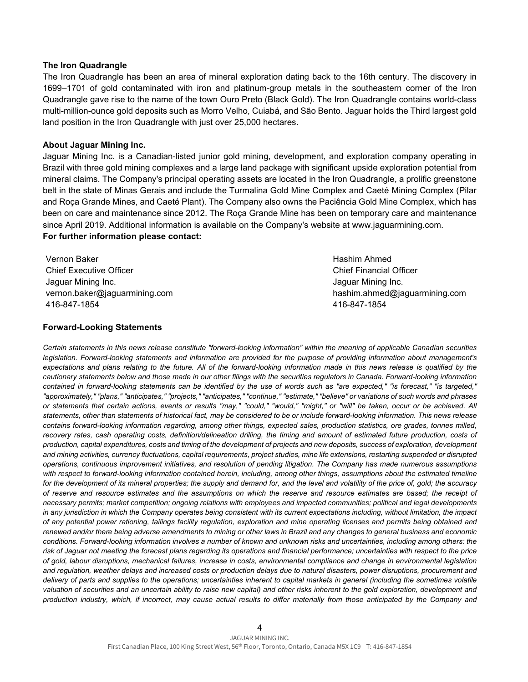#### **The Iron Quadrangle**

The Iron Quadrangle has been an area of mineral exploration dating back to the 16th century. The discovery in 1699–1701 of gold contaminated with iron and platinum-group metals in the southeastern corner of the Iron Quadrangle gave rise to the name of the town Ouro Preto (Black Gold). The Iron Quadrangle contains world-class multi-million-ounce gold deposits such as Morro Velho, Cuiabá, and São Bento. Jaguar holds the Third largest gold land position in the Iron Quadrangle with just over 25,000 hectares.

#### **About Jaguar Mining Inc.**

Jaguar Mining Inc. is a Canadian-listed junior gold mining, development, and exploration company operating in Brazil with three gold mining complexes and a large land package with significant upside exploration potential from mineral claims. The Company's principal operating assets are located in the Iron Quadrangle, a prolific greenstone belt in the state of Minas Gerais and include the Turmalina Gold Mine Complex and Caeté Mining Complex (Pilar and Roça Grande Mines, and Caeté Plant). The Company also owns the Paciência Gold Mine Complex, which has been on care and maintenance since 2012. The Roça Grande Mine has been on temporary care and maintenance since April 2019. Additional information is available on the Company's website at www.jaguarmining.com. **For further information please contact:**

| Vernon Baker                   | Hashim Ahmed                   |
|--------------------------------|--------------------------------|
| <b>Chief Executive Officer</b> | <b>Chief Financial Officer</b> |
| Jaguar Mining Inc.             | Jaguar Mining Inc.             |
| vernon.baker@jaguarmining.com  | hashim.ahmed@jaguarmining.com  |
| 416-847-1854                   | 416-847-1854                   |

#### **Forward-Looking Statements**

*Certain statements in this news release constitute "forward-looking information" within the meaning of applicable Canadian securities legislation. Forward-looking statements and information are provided for the purpose of providing information about management's expectations and plans relating to the future. All of the forward-looking information made in this news release is qualified by the cautionary statements below and those made in our other filings with the securities regulators in Canada. Forward-looking information contained in forward-looking statements can be identified by the use of words such as "are expected," "is forecast," "is targeted," "approximately," "plans," "anticipates," "projects," "anticipates," "continue," "estimate," "believe" or variations of such words and phrases or statements that certain actions, events or results "may," "could," "would," "might," or "will" be taken, occur or be achieved. All statements, other than statements of historical fact, may be considered to be or include forward-looking information. This news release contains forward-looking information regarding, among other things, expected sales, production statistics, ore grades, tonnes milled,*  recovery rates, cash operating costs, definition/delineation drilling, the timing and amount of estimated future production, costs of *production, capital expenditures, costs and timing of the development of projects and new deposits, success of exploration, development and mining activities, currency fluctuations, capital requirements, project studies, mine life extensions, restarting suspended or disrupted operations, continuous improvement initiatives, and resolution of pending litigation. The Company has made numerous assumptions*  with respect to forward-looking information contained herein, including, among other things, assumptions about the estimated timeline *for the development of its mineral properties; the supply and demand for, and the level and volatility of the price of, gold; the accuracy of reserve and resource estimates and the assumptions on which the reserve and resource estimates are based; the receipt of necessary permits; market competition; ongoing relations with employees and impacted communities; political and legal developments in any jurisdiction in which the Company operates being consistent with its current expectations including, without limitation, the impact of any potential power rationing, tailings facility regulation, exploration and mine operating licenses and permits being obtained and renewed and/or there being adverse amendments to mining or other laws in Brazil and any changes to general business and economic conditions. Forward-looking information involves a number of known and unknown risks and uncertainties, including among others: the risk of Jaguar not meeting the forecast plans regarding its operations and financial performance; uncertainties with respect to the price of gold, labour disruptions, mechanical failures, increase in costs, environmental compliance and change in environmental legislation and regulation, weather delays and increased costs or production delays due to natural disasters, power disruptions, procurement and delivery of parts and supplies to the operations; uncertainties inherent to capital markets in general (including the sometimes volatile valuation of securities and an uncertain ability to raise new capital) and other risks inherent to the gold exploration, development and production industry, which, if incorrect, may cause actual results to differ materially from those anticipated by the Company and*